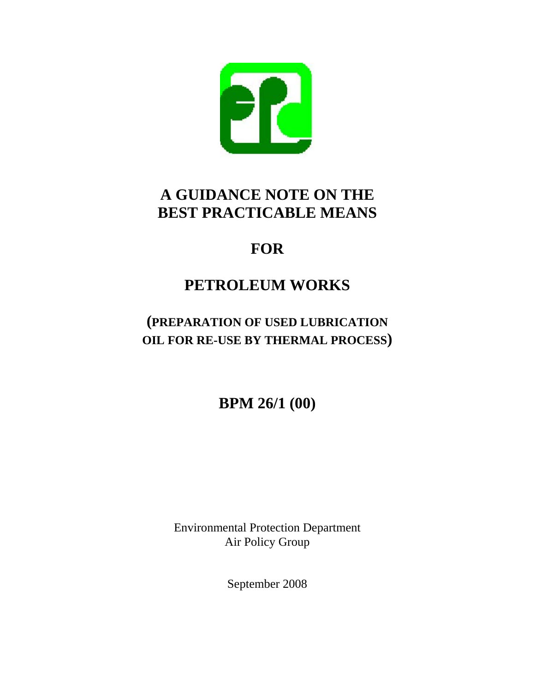

# **A GUIDANCE NOTE ON THE BEST PRACTICABLE MEANS**

# **FOR**

# **PETROLEUM WORKS**

## **(PREPARATION OF USED LUBRICATION OIL FOR RE-USE BY THERMAL PROCESS)**

**BPM 26/1 (00)** 

Environmental Protection Department Air Policy Group

September 2008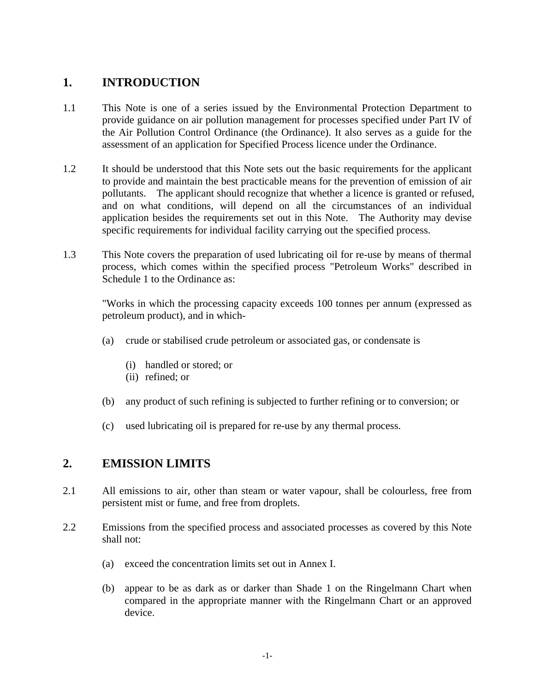### **1. INTRODUCTION**

- 1.1 This Note is one of a series issued by the Environmental Protection Department to provide guidance on air pollution management for processes specified under Part IV of the Air Pollution Control Ordinance (the Ordinance). It also serves as a guide for the assessment of an application for Specified Process licence under the Ordinance.
- 1.2 It should be understood that this Note sets out the basic requirements for the applicant to provide and maintain the best practicable means for the prevention of emission of air pollutants. The applicant should recognize that whether a licence is granted or refused, and on what conditions, will depend on all the circumstances of an individual application besides the requirements set out in this Note. The Authority may devise specific requirements for individual facility carrying out the specified process.
- 1.3 This Note covers the preparation of used lubricating oil for re-use by means of thermal process, which comes within the specified process "Petroleum Works" described in Schedule 1 to the Ordinance as:

"Works in which the processing capacity exceeds 100 tonnes per annum (expressed as petroleum product), and in which-

- (a) crude or stabilised crude petroleum or associated gas, or condensate is
	- (i) handled or stored; or
	- (ii) refined; or
- (b) any product of such refining is subjected to further refining or to conversion; or
- (c) used lubricating oil is prepared for re-use by any thermal process.

### **2. EMISSION LIMITS**

- 2.1 All emissions to air, other than steam or water vapour, shall be colourless, free from persistent mist or fume, and free from droplets.
- 2.2 Emissions from the specified process and associated processes as covered by this Note shall not:
	- (a) exceed the concentration limits set out in Annex I.
	- (b) appear to be as dark as or darker than Shade 1 on the Ringelmann Chart when compared in the appropriate manner with the Ringelmann Chart or an approved device.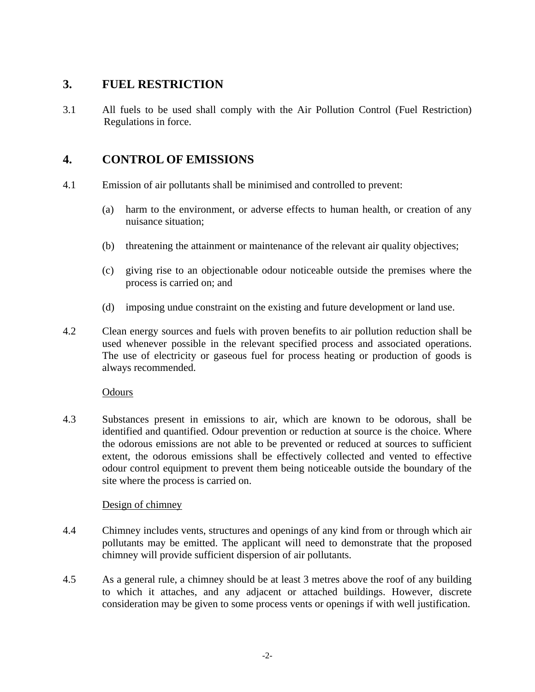### **3. FUEL RESTRICTION**

3.1 All fuels to be used shall comply with the Air Pollution Control (Fuel Restriction) Regulations in force.

### **4. CONTROL OF EMISSIONS**

- 4.1 Emission of air pollutants shall be minimised and controlled to prevent:
	- (a) harm to the environment, or adverse effects to human health, or creation of any nuisance situation;
	- (b) threatening the attainment or maintenance of the relevant air quality objectives;
	- process is carried on; and (c) giving rise to an objectionable odour noticeable outside the premises where the
	- (d) imposing undue constraint on the existing and future development or land use.
- 4.2 Clean energy sources and fuels with proven benefits to air pollution reduction shall be used whenever possible in the relevant specified process and associated operations. The use of electricity or gaseous fuel for process heating or production of goods is always recommended.

### **Odours**

4.3 Substances present in emissions to air, which are known to be odorous, shall be identified and quantified. Odour prevention or reduction at source is the choice. Where the odorous emissions are not able to be prevented or reduced at sources to sufficient extent, the odorous emissions shall be effectively collected and vented to effective odour control equipment to prevent them being noticeable outside the boundary of the site where the process is carried on.

### Design of chimney

- 4.4 Chimney includes vents, structures and openings of any kind from or through which air pollutants may be emitted. The applicant will need to demonstrate that the proposed chimney will provide sufficient dispersion of air pollutants.
- 4.5 As a general rule, a chimney should be at least 3 metres above the roof of any building to which it attaches, and any adjacent or attached buildings. However, discrete consideration may be given to some process vents or openings if with well justification.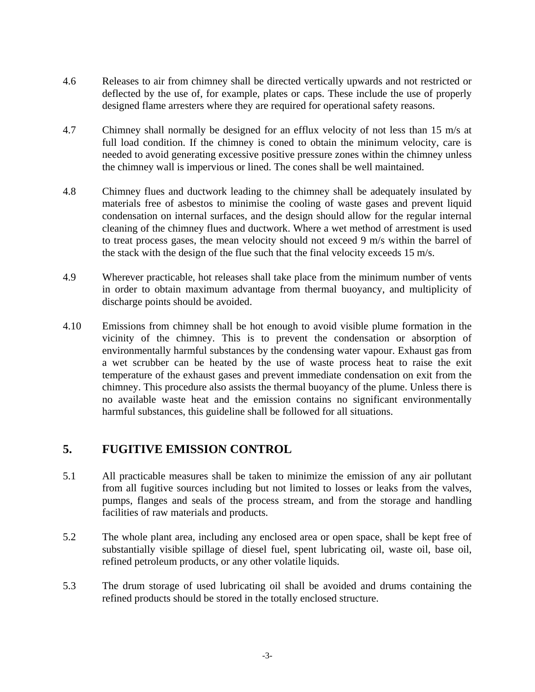- 4.6 Releases to air from chimney shall be directed vertically upwards and not restricted or deflected by the use of, for example, plates or caps. These include the use of properly designed flame arresters where they are required for operational safety reasons.
- 4.7 Chimney shall normally be designed for an efflux velocity of not less than 15 m/s at full load condition. If the chimney is coned to obtain the minimum velocity, care is needed to avoid generating excessive positive pressure zones within the chimney unless the chimney wall is impervious or lined. The cones shall be well maintained.
- 4.8 Chimney flues and ductwork leading to the chimney shall be adequately insulated by materials free of asbestos to minimise the cooling of waste gases and prevent liquid condensation on internal surfaces, and the design should allow for the regular internal cleaning of the chimney flues and ductwork. Where a wet method of arrestment is used to treat process gases, the mean velocity should not exceed 9 m/s within the barrel of the stack with the design of the flue such that the final velocity exceeds 15 m/s.
- 4.9 Wherever practicable, hot releases shall take place from the minimum number of vents in order to obtain maximum advantage from thermal buoyancy, and multiplicity of discharge points should be avoided.
- 4.10 Emissions from chimney shall be hot enough to avoid visible plume formation in the vicinity of the chimney. This is to prevent the condensation or absorption of environmentally harmful substances by the condensing water vapour. Exhaust gas from a wet scrubber can be heated by the use of waste process heat to raise the exit temperature of the exhaust gases and prevent immediate condensation on exit from the chimney. This procedure also assists the thermal buoyancy of the plume. Unless there is no available waste heat and the emission contains no significant environmentally harmful substances, this guideline shall be followed for all situations.

### **5. FUGITIVE EMISSION CONTROL**

- 5.1 All practicable measures shall be taken to minimize the emission of any air pollutant from all fugitive sources including but not limited to losses or leaks from the valves, pumps, flanges and seals of the process stream, and from the storage and handling facilities of raw materials and products.
- 5.2 The whole plant area, including any enclosed area or open space, shall be kept free of substantially visible spillage of diesel fuel, spent lubricating oil, waste oil, base oil, refined petroleum products, or any other volatile liquids.
- 5.3 The drum storage of used lubricating oil shall be avoided and drums containing the refined products should be stored in the totally enclosed structure.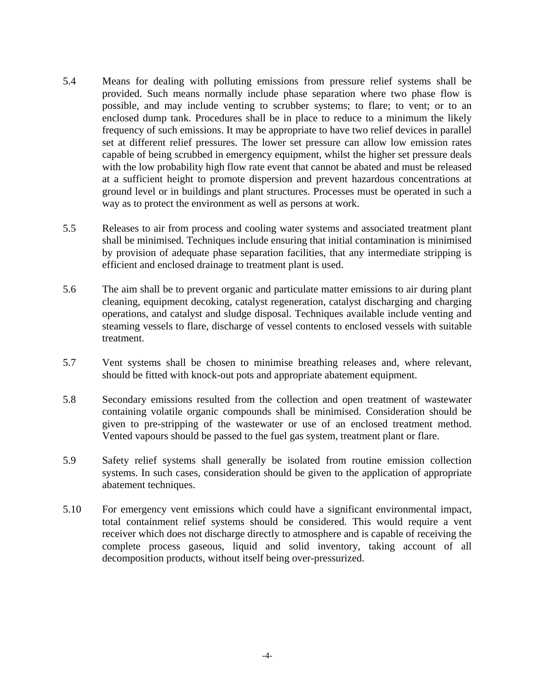- 5.4 Means for dealing with polluting emissions from pressure relief systems shall be provided. Such means normally include phase separation where two phase flow is possible, and may include venting to scrubber systems; to flare; to vent; or to an enclosed dump tank. Procedures shall be in place to reduce to a minimum the likely frequency of such emissions. It may be appropriate to have two relief devices in parallel set at different relief pressures. The lower set pressure can allow low emission rates capable of being scrubbed in emergency equipment, whilst the higher set pressure deals with the low probability high flow rate event that cannot be abated and must be released at a sufficient height to promote dispersion and prevent hazardous concentrations at ground level or in buildings and plant structures. Processes must be operated in such a way as to protect the environment as well as persons at work.
- 5.5 Releases to air from process and cooling water systems and associated treatment plant shall be minimised. Techniques include ensuring that initial contamination is minimised by provision of adequate phase separation facilities, that any intermediate stripping is efficient and enclosed drainage to treatment plant is used.
- 5.6 The aim shall be to prevent organic and particulate matter emissions to air during plant cleaning, equipment decoking, catalyst regeneration, catalyst discharging and charging operations, and catalyst and sludge disposal. Techniques available include venting and steaming vessels to flare, discharge of vessel contents to enclosed vessels with suitable treatment.
- 5.7 Vent systems shall be chosen to minimise breathing releases and, where relevant, should be fitted with knock-out pots and appropriate abatement equipment.
- 5.8 Secondary emissions resulted from the collection and open treatment of wastewater containing volatile organic compounds shall be minimised. Consideration should be given to pre-stripping of the wastewater or use of an enclosed treatment method. Vented vapours should be passed to the fuel gas system, treatment plant or flare.
- 5.9 Safety relief systems shall generally be isolated from routine emission collection systems. In such cases, consideration should be given to the application of appropriate abatement techniques.
- 5.10 For emergency vent emissions which could have a significant environmental impact, total containment relief systems should be considered. This would require a vent receiver which does not discharge directly to atmosphere and is capable of receiving the complete process gaseous, liquid and solid inventory, taking account of all decomposition products, without itself being over-pressurized.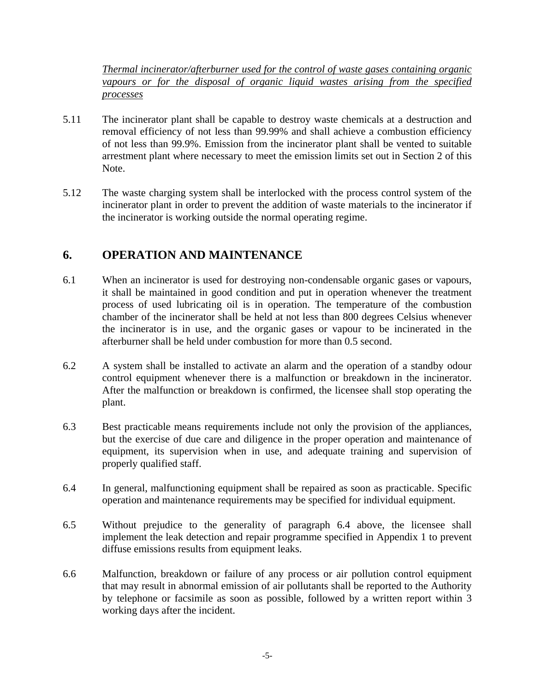*Thermal incinerator/afterburner used for the control of waste gases containing organic vapours or for the disposal of organic liquid wastes arising from the specified processes*

- 5.11 The incinerator plant shall be capable to destroy waste chemicals at a destruction and removal efficiency of not less than 99.99% and shall achieve a combustion efficiency of not less than 99.9%. Emission from the incinerator plant shall be vented to suitable arrestment plant where necessary to meet the emission limits set out in Section 2 of this Note.
- 5.12 The waste charging system shall be interlocked with the process control system of the incinerator plant in order to prevent the addition of waste materials to the incinerator if the incinerator is working outside the normal operating regime.

### **6. OPERATION AND MAINTENANCE**

- 6.1 When an incinerator is used for destroying non-condensable organic gases or vapours, it shall be maintained in good condition and put in operation whenever the treatment process of used lubricating oil is in operation. The temperature of the combustion chamber of the incinerator shall be held at not less than 800 degrees Celsius whenever the incinerator is in use, and the organic gases or vapour to be incinerated in the afterburner shall be held under combustion for more than 0.5 second.
- 6.2 A system shall be installed to activate an alarm and the operation of a standby odour control equipment whenever there is a malfunction or breakdown in the incinerator. After the malfunction or breakdown is confirmed, the licensee shall stop operating the plant.
- 6.3 Best practicable means requirements include not only the provision of the appliances, but the exercise of due care and diligence in the proper operation and maintenance of equipment, its supervision when in use, and adequate training and supervision of properly qualified staff.
- 6.4 In general, malfunctioning equipment shall be repaired as soon as practicable. Specific operation and maintenance requirements may be specified for individual equipment.
- 6.5 Without prejudice to the generality of paragraph 6.4 above, the licensee shall implement the leak detection and repair programme specified in Appendix 1 to prevent diffuse emissions results from equipment leaks.
- 6.6 Malfunction, breakdown or failure of any process or air pollution control equipment that may result in abnormal emission of air pollutants shall be reported to the Authority by telephone or facsimile as soon as possible, followed by a written report within 3 working days after the incident.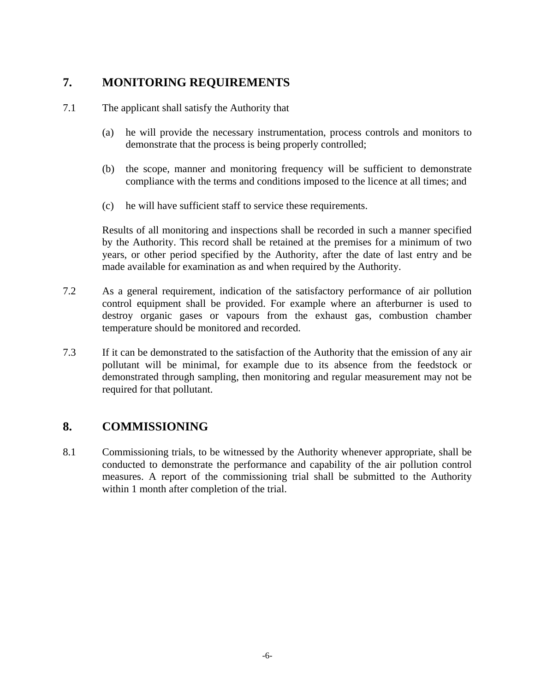### **7. MONITORING REQUIREMENTS**

- 7.1 The applicant shall satisfy the Authority that
	- (a) he will provide the necessary instrumentation, process controls and monitors to demonstrate that the process is being properly controlled;
	- (b) the scope, manner and monitoring frequency will be sufficient to demonstrate compliance with the terms and conditions imposed to the licence at all times; and
	- (c) he will have sufficient staff to service these requirements.

Results of all monitoring and inspections shall be recorded in such a manner specified by the Authority. This record shall be retained at the premises for a minimum of two years, or other period specified by the Authority, after the date of last entry and be made available for examination as and when required by the Authority.

- 7.2 As a general requirement, indication of the satisfactory performance of air pollution control equipment shall be provided. For example where an afterburner is used to destroy organic gases or vapours from the exhaust gas, combustion chamber temperature should be monitored and recorded.
- 7.3 If it can be demonstrated to the satisfaction of the Authority that the emission of any air pollutant will be minimal, for example due to its absence from the feedstock or demonstrated through sampling, then monitoring and regular measurement may not be required for that pollutant.

### **8. COMMISSIONING**

8.1 Commissioning trials, to be witnessed by the Authority whenever appropriate, shall be conducted to demonstrate the performance and capability of the air pollution control measures. A report of the commissioning trial shall be submitted to the Authority within 1 month after completion of the trial.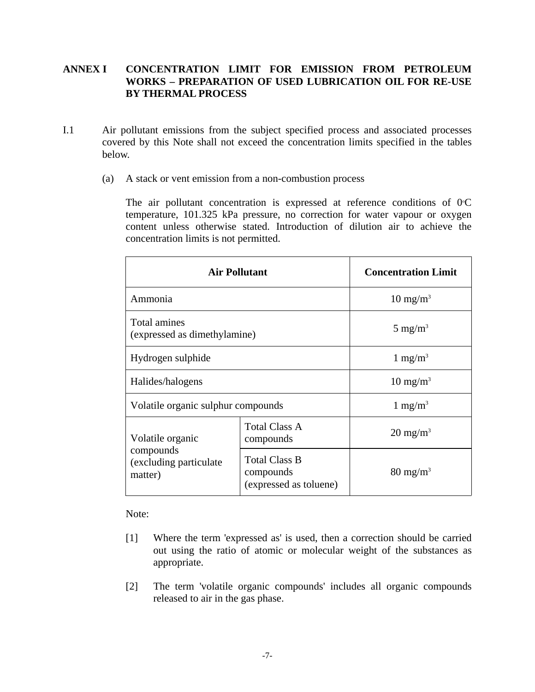### **BY THERMAL PROCESS ANNEX I CONCENTRATION LIMIT FOR EMISSION FROM PETROLEUM WORKS – PREPARATION OF USED LUBRICATION OIL FOR RE-USE**

- I.1 Air pollutant emissions from the subject specified process and associated processes covered by this Note shall not exceed the concentration limits specified in the tables below.
	- (a) A stack or vent emission from a non-combustion process

The air pollutant concentration is expressed at reference conditions of  $0^{\circ}C$ temperature, 101.325 kPa pressure, no correction for water vapour or oxygen content unless otherwise stated. Introduction of dilution air to achieve the concentration limits is not permitted.

| <b>Air Pollutant</b>                                                |                                                             | <b>Concentration Limit</b> |
|---------------------------------------------------------------------|-------------------------------------------------------------|----------------------------|
| Ammonia                                                             |                                                             | $10 \text{ mg/m}^3$        |
| <b>Total amines</b><br>(expressed as dimethylamine)                 |                                                             | 5 mg/m <sup>3</sup>        |
| Hydrogen sulphide                                                   |                                                             | 1 mg/m <sup>3</sup>        |
| Halides/halogens                                                    |                                                             | $10 \text{ mg/m}^3$        |
| Volatile organic sulphur compounds                                  |                                                             | $1 \text{ mg/m}^3$         |
| Volatile organic<br>compounds<br>(excluding particulate)<br>matter) | <b>Total Class A</b><br>compounds                           | $20 \text{ mg/m}^3$        |
|                                                                     | <b>Total Class B</b><br>compounds<br>(expressed as toluene) | $80 \text{ mg/m}^3$        |

Note:

- [1] Where the term 'expressed as' is used, then a correction should be carried out using the ratio of atomic or molecular weight of the substances as appropriate.
- [2] The term 'volatile organic compounds' includes all organic compounds released to air in the gas phase.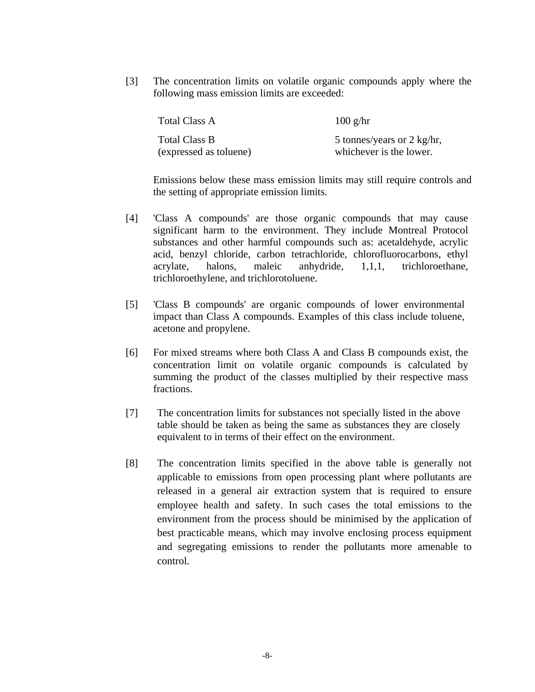[3] The concentration limits on volatile organic compounds apply where the following mass emission limits are exceeded:

| Total Class A          | $100$ g/hr                 |
|------------------------|----------------------------|
| Total Class B          | 5 tonnes/years or 2 kg/hr, |
| (expressed as toluene) | whichever is the lower.    |

Emissions below these mass emission limits may still require controls and the setting of appropriate emission limits.

- [4] 'Class A compounds' are those organic compounds that may cause significant harm to the environment. They include Montreal Protocol substances and other harmful compounds such as: acetaldehyde, acrylic acid, benzyl chloride, carbon tetrachloride, chlorofluorocarbons, ethyl acrylate, halons, maleic anhydride, 1,1,1, trichloroethane, trichloroethylene, and trichlorotoluene.
- [5] 'Class B compounds' are organic compounds of lower environmental impact than Class A compounds. Examples of this class include toluene, acetone and propylene.
- [6] For mixed streams where both Class A and Class B compounds exist, the concentration limit on volatile organic compounds is calculated by summing the product of the classes multiplied by their respective mass fractions.
- [7] The concentration limits for substances not specially listed in the above table should be taken as being the same as substances they are closely equivalent to in terms of their effect on the environment.
- [8] The concentration limits specified in the above table is generally not applicable to emissions from open processing plant where pollutants are released in a general air extraction system that is required to ensure employee health and safety. In such cases the total emissions to the environment from the process should be minimised by the application of best practicable means, which may involve enclosing process equipment and segregating emissions to render the pollutants more amenable to control.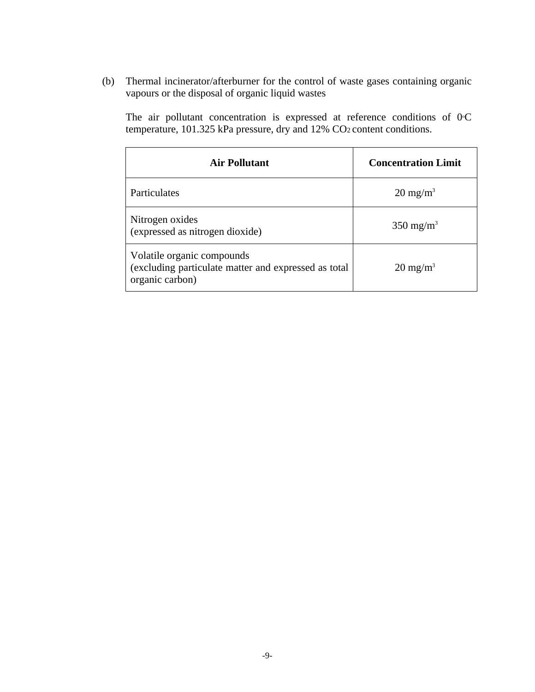(b) Thermal incinerator/afterburner for the control of waste gases containing organic vapours or the disposal of organic liquid wastes

The air pollutant concentration is expressed at reference conditions of  $0^{\circ}C$ temperature, 101.325 kPa pressure, dry and 12% CO<sub>2</sub> content conditions.

| <b>Air Pollutant</b>                                                                                  | <b>Concentration Limit</b> |
|-------------------------------------------------------------------------------------------------------|----------------------------|
| Particulates                                                                                          | $20 \text{ mg/m}^3$        |
| Nitrogen oxides<br>(expressed as nitrogen dioxide)                                                    | $350 \text{ mg/m}^3$       |
| Volatile organic compounds<br>(excluding particulate matter and expressed as total<br>organic carbon) | $20 \text{ mg/m}^3$        |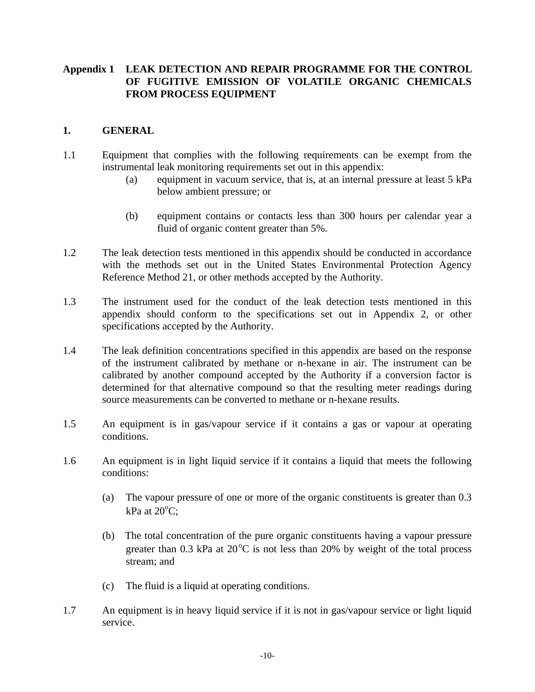# **Appendix 1 LEAK DETECTION AND REPAIR PROGRAMME FOR THE CONTROL FROM PROCESS EQUIPMENT 1. GENERAL OF FUGITIVE EMISSION OF VOLATILE ORGANIC CHEMICALS**

- 1.1 Equipment that complies with the following requirements can be exempt from the instrumental leak monitoring requirements set out in this appendix:
	- (a) equipment in vacuum service, that is, at an internal pressure at least 5 kPa below ambient pressure; or
	- (b) equipment contains or contacts less than 300 hours per calendar year a fluid of organic content greater than 5%.
- 1.2 The leak detection tests mentioned in this appendix should be conducted in accordance with the methods set out in the United States Environmental Protection Agency Reference Method 21, or other methods accepted by the Authority.
- 1.3 The instrument used for the conduct of the leak detection tests mentioned in this appendix should conform to the specifications set out in Appendix 2, or other specifications accepted by the Authority.
- 1.4 The leak definition concentrations specified in this appendix are based on the response of the instrument calibrated by methane or n-hexane in air. The instrument can be calibrated by another compound accepted by the Authority if a conversion factor is determined for that alternative compound so that the resulting meter readings during source measurements can be converted to methane or n-hexane results.
- 1.5 An equipment is in gas/vapour service if it contains a gas or vapour at operating conditions.
- 1.6 An equipment is in light liquid service if it contains a liquid that meets the following conditions:
	- (a) The vapour pressure of one or more of the organic constituents is greater than 0.3  $kPa$  at  $20^{\circ}C$ ;
	- (b) The total concentration of the pure organic constituents having a vapour pressure greater than  $0.3$  kPa at  $20^{\circ}$ C is not less than  $20\%$  by weight of the total process stream; and
	- (c) The fluid is a liquid at operating conditions.
- 1.7 An equipment is in heavy liquid service if it is not in gas/vapour service or light liquid service.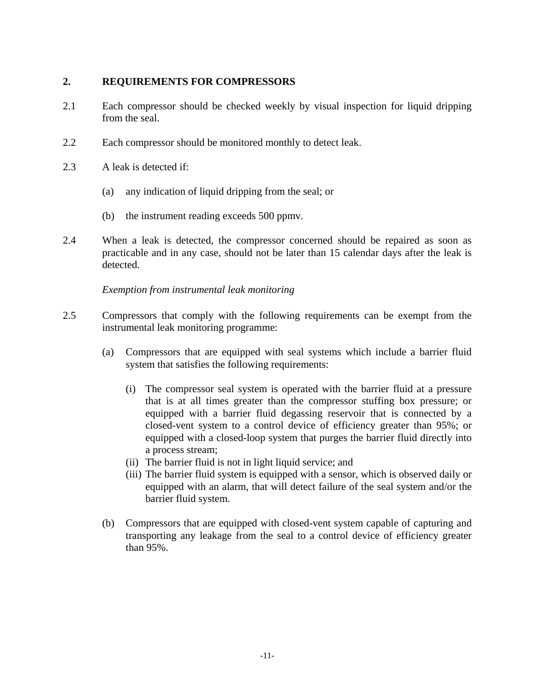### **2. REQUIREMENTS FOR COMPRESSORS**

- 2.1 Each compressor should be checked weekly by visual inspection for liquid dripping from the seal.
- 2.2 Each compressor should be monitored monthly to detect leak.
- 2.3 A leak is detected if:
	- (a) any indication of liquid dripping from the seal; or
	- (b) the instrument reading exceeds 500 ppmv.
- 2.4 When a leak is detected, the compressor concerned should be repaired as soon as practicable and in any case, should not be later than 15 calendar days after the leak is detected.

*Exemption from instrumental leak monitoring*

- 2.5 Compressors that comply with the following requirements can be exempt from the instrumental leak monitoring programme:
	- (a) Compressors that are equipped with seal systems which include a barrier fluid system that satisfies the following requirements:
		- (i) The compressor seal system is operated with the barrier fluid at a pressure that is at all times greater than the compressor stuffing box pressure; or equipped with a barrier fluid degassing reservoir that is connected by a closed-vent system to a control device of efficiency greater than 95%; or equipped with a closed-loop system that purges the barrier fluid directly into a process stream;
		- (ii) The barrier fluid is not in light liquid service; and
		- (iii) The barrier fluid system is equipped with a sensor, which is observed daily or equipped with an alarm, that will detect failure of the seal system and/or the barrier fluid system.
	- (b) Compressors that are equipped with closed-vent system capable of capturing and transporting any leakage from the seal to a control device of efficiency greater than 95%.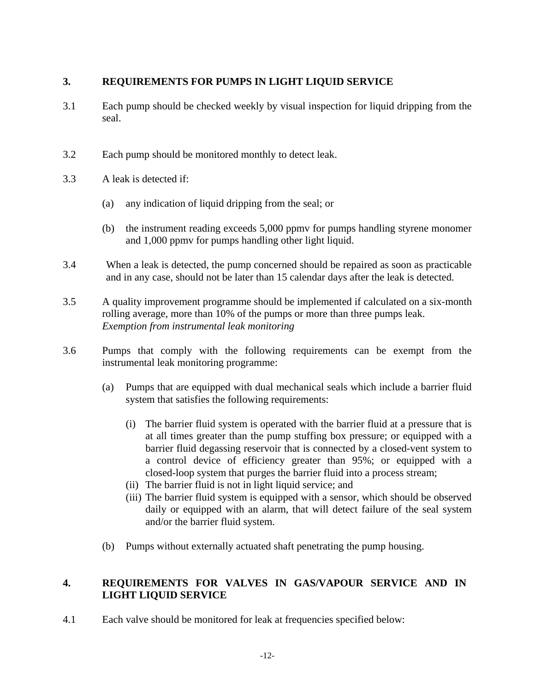### $\overline{3}$ . **3. REQUIREMENTS FOR PUMPS IN LIGHT LIQUID SERVICE**

- 3.1 Each pump should be checked weekly by visual inspection for liquid dripping from the seal.
- 3.2 Each pump should be monitored monthly to detect leak.
- 3.3 A leak is detected if:
	- (a) any indication of liquid dripping from the seal; or
	- (b) the instrument reading exceeds 5,000 ppmv for pumps handling styrene monomer and 1,000 ppmv for pumps handling other light liquid.
- 3.4 When a leak is detected, the pump concerned should be repaired as soon as practicable and in any case, should not be later than 15 calendar days after the leak is detected.
- 3.5 A quality improvement programme should be implemented if calculated on a six-month rolling average, more than 10% of the pumps or more than three pumps leak. *Exemption from instrumental leak monitoring*
- 3.6 Pumps that comply with the following requirements can be exempt from the instrumental leak monitoring programme:
	- (a) Pumps that are equipped with dual mechanical seals which include a barrier fluid system that satisfies the following requirements:
		- (i) The barrier fluid system is operated with the barrier fluid at a pressure that is at all times greater than the pump stuffing box pressure; or equipped with a barrier fluid degassing reservoir that is connected by a closed-vent system to a control device of efficiency greater than 95%; or equipped with a closed-loop system that purges the barrier fluid into a process stream;
		- (ii) The barrier fluid is not in light liquid service; and
		- (iii) The barrier fluid system is equipped with a sensor, which should be observed daily or equipped with an alarm, that will detect failure of the seal system and/or the barrier fluid system.
	- (b) Pumps without externally actuated shaft penetrating the pump housing.

### $\overline{4}$ . **LIGHT LIQUID SERVICE** REQUIREMENTS FOR VALVES IN GAS/VAPOUR SERVICE AND IN

4.1 Each valve should be monitored for leak at frequencies specified below: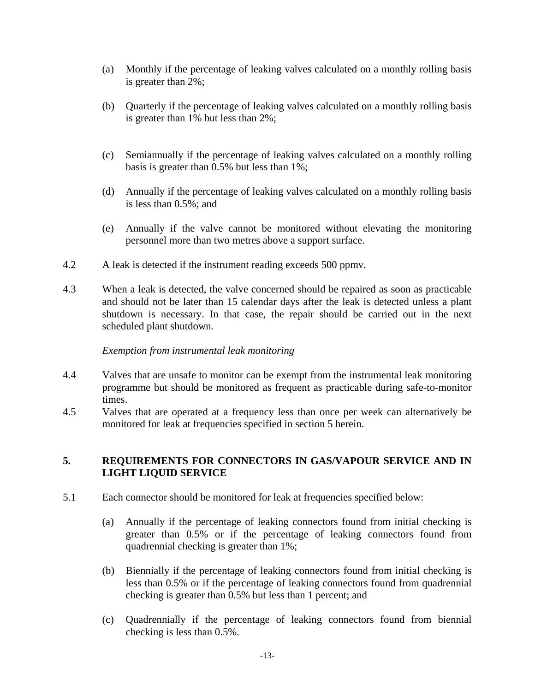- (a) Monthly if the percentage of leaking valves calculated on a monthly rolling basis is greater than 2%;
- (b) Quarterly if the percentage of leaking valves calculated on a monthly rolling basis is greater than 1% but less than 2%;
- (c) Semiannually if the percentage of leaking valves calculated on a monthly rolling basis is greater than 0.5% but less than 1%;
- (d) Annually if the percentage of leaking valves calculated on a monthly rolling basis is less than 0.5%; and
- (e) Annually if the valve cannot be monitored without elevating the monitoring personnel more than two metres above a support surface.
- 4.2 A leak is detected if the instrument reading exceeds 500 ppmv.
- 4.3 When a leak is detected, the valve concerned should be repaired as soon as practicable and should not be later than 15 calendar days after the leak is detected unless a plant shutdown is necessary. In that case, the repair should be carried out in the next scheduled plant shutdown.

*Exemption from instrumental leak monitoring* 

- 4.4 Valves that are unsafe to monitor can be exempt from the instrumental leak monitoring programme but should be monitored as frequent as practicable during safe-to-monitor times.
- 4.5 Valves that are operated at a frequency less than once per week can alternatively be monitored for leak at frequencies specified in section 5 herein.

### **5. REQUIREMENTS FOR CONNECTORS IN GAS/VAPOUR SERVICE AND IN LIGHT LIQUID SERVICE**

- 5.1 Each connector should be monitored for leak at frequencies specified below:
	- (a) Annually if the percentage of leaking connectors found from initial checking is greater than 0.5% or if the percentage of leaking connectors found from quadrennial checking is greater than 1%;
	- (b) Biennially if the percentage of leaking connectors found from initial checking is less than 0.5% or if the percentage of leaking connectors found from quadrennial checking is greater than 0.5% but less than 1 percent; and
	- (c) Quadrennially if the percentage of leaking connectors found from biennial checking is less than 0.5%.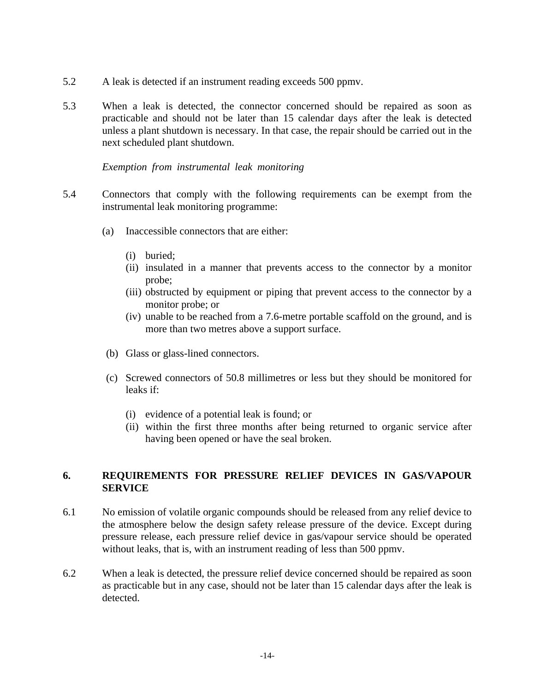- 5.2 A leak is detected if an instrument reading exceeds 500 ppmv.
- 5.3 When a leak is detected, the connector concerned should be repaired as soon as practicable and should not be later than 15 calendar days after the leak is detected unless a plant shutdown is necessary. In that case, the repair should be carried out in the next scheduled plant shutdown.

### *Exemption from instrumental leak monitoring*

- 5.4 Connectors that comply with the following requirements can be exempt from the instrumental leak monitoring programme:
	- (a) Inaccessible connectors that are either:
		- (i) buried:
		- (ii) insulated in a manner that prevents access to the connector by a monitor probe;
		- (iii) obstructed by equipment or piping that prevent access to the connector by a monitor probe; or
		- (iv) unable to be reached from a 7.6-metre portable scaffold on the ground, and is more than two metres above a support surface.
	- (b) Glass or glass-lined connectors.
	- (c) Screwed connectors of 50.8 millimetres or less but they should be monitored for leaks if:
		- (i) evidence of a potential leak is found; or
		- (ii) within the first three months after being returned to organic service after having been opened or have the seal broken.

### 6. **SERVICE 6. REQUIREMENTS FOR PRESSURE RELIEF DEVICES IN GAS/VAPOUR**

- 6.1 No emission of volatile organic compounds should be released from any relief device to the atmosphere below the design safety release pressure of the device. Except during pressure release, each pressure relief device in gas/vapour service should be operated without leaks, that is, with an instrument reading of less than 500 ppmv.
- 6.2 When a leak is detected, the pressure relief device concerned should be repaired as soon as practicable but in any case, should not be later than 15 calendar days after the leak is detected.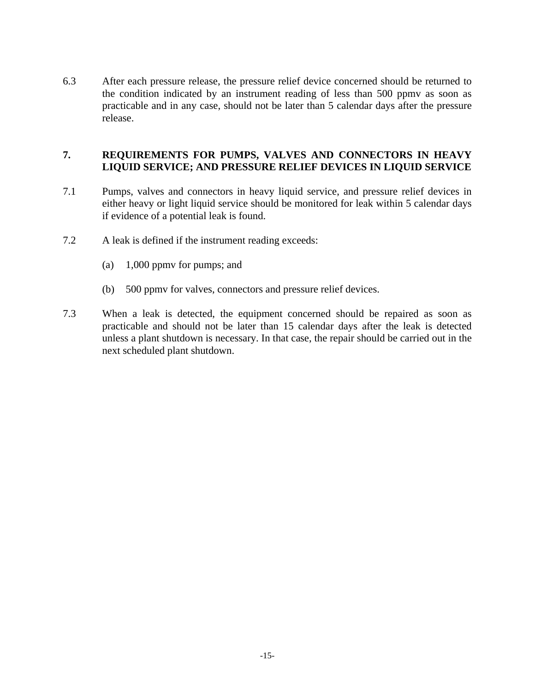6.3 After each pressure release, the pressure relief device concerned should be returned to the condition indicated by an instrument reading of less than 500 ppmv as soon as practicable and in any case, should not be later than 5 calendar days after the pressure release.

### **7. REQUIREMENTS FOR PUMPS, VALVES AND CONNECTORS IN HEAVY LIQUID SERVICE; AND PRESSURE RELIEF DEVICES IN LIQUID SERVICE**

- 7.1 Pumps, valves and connectors in heavy liquid service, and pressure relief devices in either heavy or light liquid service should be monitored for leak within 5 calendar days if evidence of a potential leak is found.
- 7.2 A leak is defined if the instrument reading exceeds:
	- (a) 1,000 ppmv for pumps; and
	- (b) 500 ppmv for valves, connectors and pressure relief devices.
- 7.3 When a leak is detected, the equipment concerned should be repaired as soon as practicable and should not be later than 15 calendar days after the leak is detected unless a plant shutdown is necessary. In that case, the repair should be carried out in the next scheduled plant shutdown.